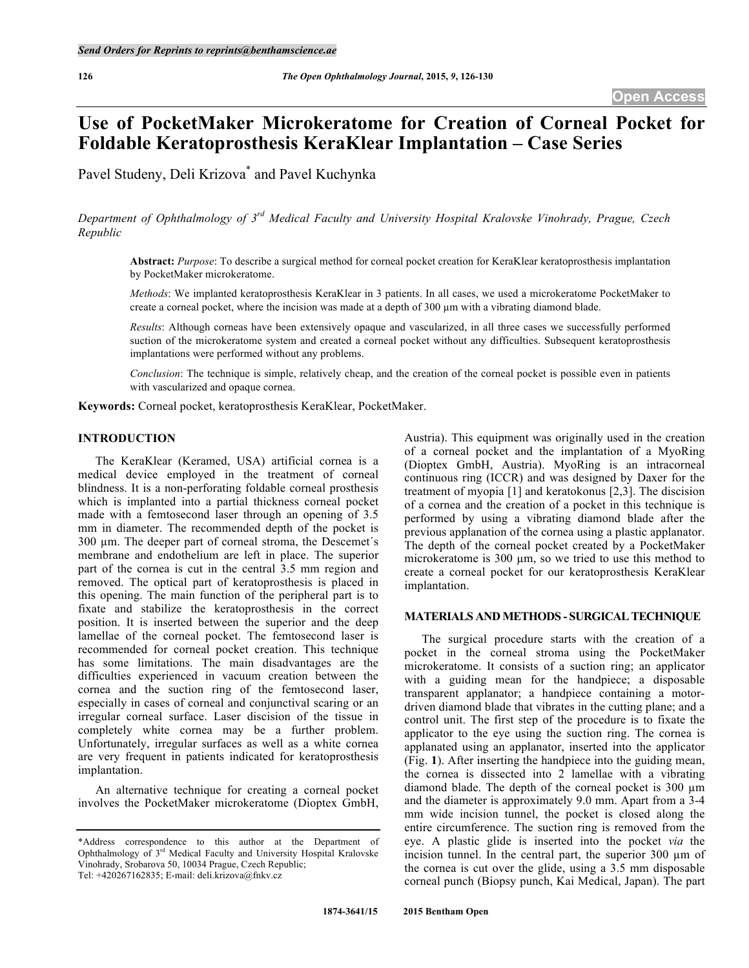# **Use of PocketMaker Microkeratome for Creation of Corneal Pocket for Foldable Keratoprosthesis KeraKlear Implantation – Case Series**

Pavel Studeny, Deli Krizova\* and Pavel Kuchynka

*Department of Ophthalmology of 3rd Medical Faculty and University Hospital Kralovske Vinohrady, Prague, Czech Republic*

**Abstract:** *Purpose*: To describe a surgical method for corneal pocket creation for KeraKlear keratoprosthesis implantation by PocketMaker microkeratome.

*Methods*: We implanted keratoprosthesis KeraKlear in 3 patients. In all cases, we used a microkeratome PocketMaker to create a corneal pocket, where the incision was made at a depth of 300 µm with a vibrating diamond blade.

*Results*: Although corneas have been extensively opaque and vascularized, in all three cases we successfully performed suction of the microkeratome system and created a corneal pocket without any difficulties. Subsequent keratoprosthesis implantations were performed without any problems.

*Conclusion*: The technique is simple, relatively cheap, and the creation of the corneal pocket is possible even in patients with vascularized and opaque cornea.

**Keywords:** Corneal pocket, keratoprosthesis KeraKlear, PocketMaker.

# **INTRODUCTION**

The KeraKlear (Keramed, USA) artificial cornea is a medical device employed in the treatment of corneal blindness. It is a non-perforating foldable corneal prosthesis which is implanted into a partial thickness corneal pocket made with a femtosecond laser through an opening of 3.5 mm in diameter. The recommended depth of the pocket is 300 µm. The deeper part of corneal stroma, the Descemet´s membrane and endothelium are left in place. The superior part of the cornea is cut in the central 3.5 mm region and removed. The optical part of keratoprosthesis is placed in this opening. The main function of the peripheral part is to fixate and stabilize the keratoprosthesis in the correct position. It is inserted between the superior and the deep lamellae of the corneal pocket. The femtosecond laser is recommended for corneal pocket creation. This technique has some limitations. The main disadvantages are the difficulties experienced in vacuum creation between the cornea and the suction ring of the femtosecond laser, especially in cases of corneal and conjunctival scaring or an irregular corneal surface. Laser discision of the tissue in completely white cornea may be a further problem. Unfortunately, irregular surfaces as well as a white cornea are very frequent in patients indicated for keratoprosthesis implantation.

An alternative technique for creating a corneal pocket involves the PocketMaker microkeratome (Dioptex GmbH,

Austria). This equipment was originally used in the creation of a corneal pocket and the implantation of a MyoRing (Dioptex GmbH, Austria). MyoRing is an intracorneal continuous ring (ICCR) and was designed by Daxer for the treatment of myopia [1] and keratokonus [2,3]. The discision of a cornea and the creation of a pocket in this technique is performed by using a vibrating diamond blade after the previous applanation of the cornea using a plastic applanator. The depth of the corneal pocket created by a PocketMaker microkeratome is 300 µm, so we tried to use this method to create a corneal pocket for our keratoprosthesis KeraKlear implantation.

#### **MATERIALS AND METHODS - SURGICALTECHNIQUE**

The surgical procedure starts with the creation of a pocket in the corneal stroma using the PocketMaker microkeratome. It consists of a suction ring; an applicator with a guiding mean for the handpiece; a disposable transparent applanator; a handpiece containing a motordriven diamond blade that vibrates in the cutting plane; and a control unit. The first step of the procedure is to fixate the applicator to the eye using the suction ring. The cornea is applanated using an applanator, inserted into the applicator (Fig. **1**). After inserting the handpiece into the guiding mean, the cornea is dissected into 2 lamellae with a vibrating diamond blade. The depth of the corneal pocket is 300  $\mu$ m and the diameter is approximately 9.0 mm. Apart from a 3-4 mm wide incision tunnel, the pocket is closed along the entire circumference. The suction ring is removed from the eye. A plastic glide is inserted into the pocket *via* the incision tunnel. In the central part, the superior 300 µm of the cornea is cut over the glide, using a 3.5 mm disposable corneal punch (Biopsy punch, Kai Medical, Japan). The part

<sup>\*</sup>Address correspondence to this author at the Department of Ophthalmology of 3rd Medical Faculty and University Hospital Kralovske Vinohrady, Srobarova 50, 10034 Prague, Czech Republic; Tel: +420267162835; E-mail: deli.krizova@fnkv.cz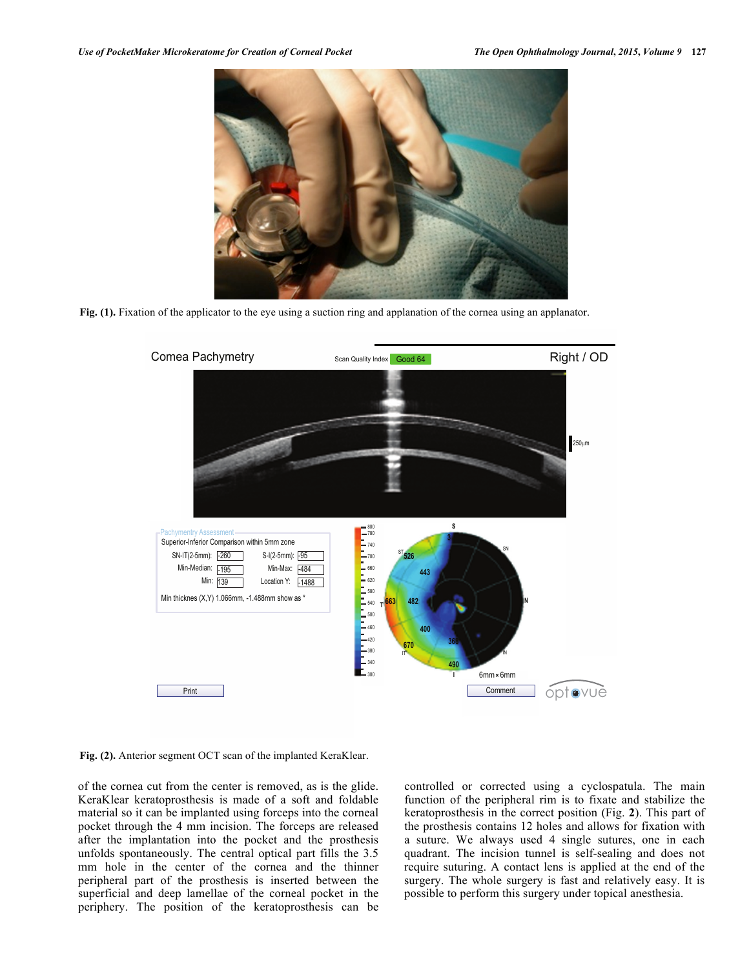

**Fig. (1).** Fixation of the applicator to the eye using a suction ring and applanation of the cornea using an applanator.



**Fig. (2).** Anterior segment OCT scan of the implanted KeraKlear.

of the cornea cut from the center is removed, as is the glide. KeraKlear keratoprosthesis is made of a soft and foldable material so it can be implanted using forceps into the corneal pocket through the 4 mm incision. The forceps are released after the implantation into the pocket and the prosthesis unfolds spontaneously. The central optical part fills the 3.5 mm hole in the center of the cornea and the thinner peripheral part of the prosthesis is inserted between the superficial and deep lamellae of the corneal pocket in the periphery. The position of the keratoprosthesis can be

controlled or corrected using a cyclospatula. The main function of the peripheral rim is to fixate and stabilize the keratoprosthesis in the correct position (Fig. **2**). This part of the prosthesis contains 12 holes and allows for fixation with a suture. We always used 4 single sutures, one in each quadrant. The incision tunnel is self-sealing and does not require suturing. A contact lens is applied at the end of the surgery. The whole surgery is fast and relatively easy. It is possible to perform this surgery under topical anesthesia.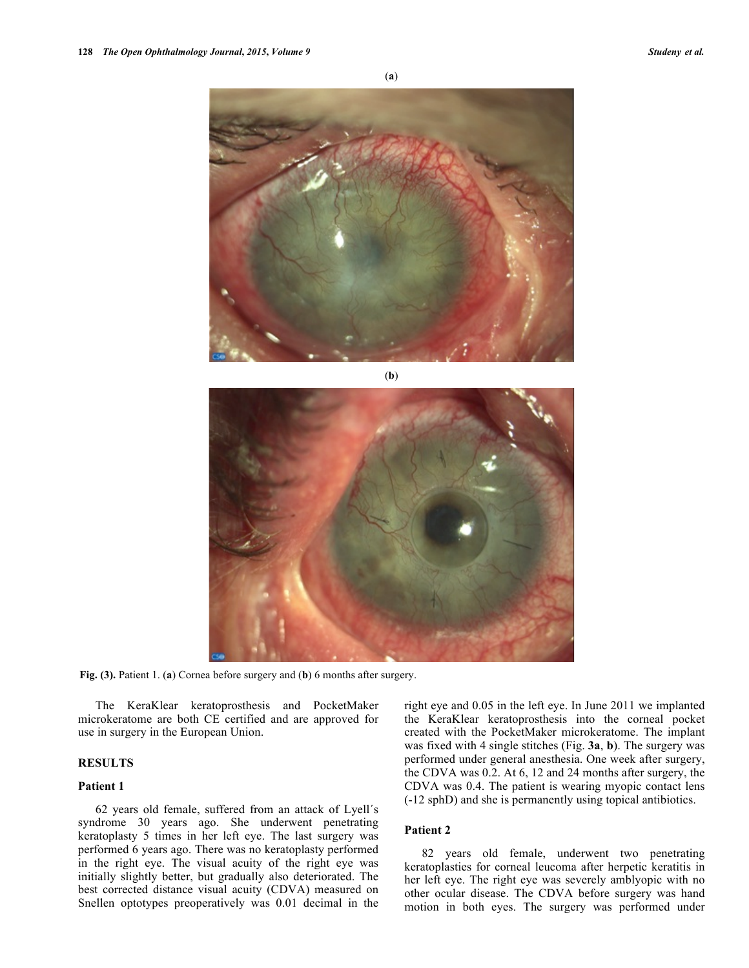

(**b**)



**Fig. (3).** Patient 1. (**a**) Cornea before surgery and (**b**) 6 months after surgery.

The KeraKlear keratoprosthesis and PocketMaker microkeratome are both CE certified and are approved for use in surgery in the European Union.

## **RESULTS**

## **Patient 1**

62 years old female, suffered from an attack of Lyell´s syndrome 30 years ago. She underwent penetrating keratoplasty 5 times in her left eye. The last surgery was performed 6 years ago. There was no keratoplasty performed in the right eye. The visual acuity of the right eye was initially slightly better, but gradually also deteriorated. The best corrected distance visual acuity (CDVA) measured on Snellen optotypes preoperatively was 0.01 decimal in the right eye and 0.05 in the left eye. In June 2011 we implanted the KeraKlear keratoprosthesis into the corneal pocket created with the PocketMaker microkeratome. The implant was fixed with 4 single stitches (Fig. **3a**, **b**). The surgery was performed under general anesthesia. One week after surgery, the CDVA was 0.2. At 6, 12 and 24 months after surgery, the CDVA was 0.4. The patient is wearing myopic contact lens (-12 sphD) and she is permanently using topical antibiotics.

## **Patient 2**

82 years old female, underwent two penetrating keratoplasties for corneal leucoma after herpetic keratitis in her left eye. The right eye was severely amblyopic with no other ocular disease. The CDVA before surgery was hand motion in both eyes. The surgery was performed under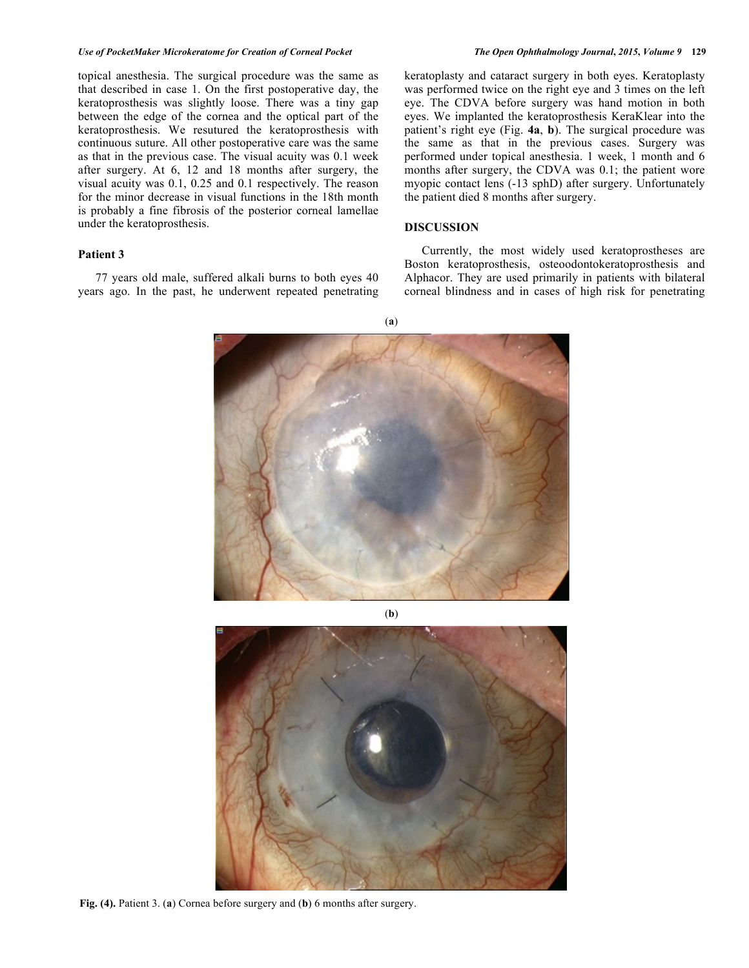#### *Use of PocketMaker Microkeratome for Creation of Corneal Pocket The Open Ophthalmology Journal***,** *2015***,** *Volume 9* **129**

topical anesthesia. The surgical procedure was the same as that described in case 1. On the first postoperative day, the keratoprosthesis was slightly loose. There was a tiny gap between the edge of the cornea and the optical part of the keratoprosthesis. We resutured the keratoprosthesis with continuous suture. All other postoperative care was the same as that in the previous case. The visual acuity was 0.1 week after surgery. At 6, 12 and 18 months after surgery, the visual acuity was 0.1, 0.25 and 0.1 respectively. The reason for the minor decrease in visual functions in the 18th month is probably a fine fibrosis of the posterior corneal lamellae under the keratoprosthesis.

# **Patient 3**

77 years old male, suffered alkali burns to both eyes 40 years ago. In the past, he underwent repeated penetrating keratoplasty and cataract surgery in both eyes. Keratoplasty was performed twice on the right eye and 3 times on the left eye. The CDVA before surgery was hand motion in both eyes. We implanted the keratoprosthesis KeraKlear into the patient's right eye (Fig. **4a**, **b**). The surgical procedure was the same as that in the previous cases. Surgery was performed under topical anesthesia. 1 week, 1 month and 6 months after surgery, the CDVA was 0.1; the patient wore myopic contact lens (-13 sphD) after surgery. Unfortunately the patient died 8 months after surgery.

## **DISCUSSION**

Currently, the most widely used keratoprostheses are Boston keratoprosthesis, osteoodontokeratoprosthesis and Alphacor. They are used primarily in patients with bilateral corneal blindness and in cases of high risk for penetrating

(**a**)



(**b**)



**Fig. (4).** Patient 3. (**a**) Cornea before surgery and (**b**) 6 months after surgery.